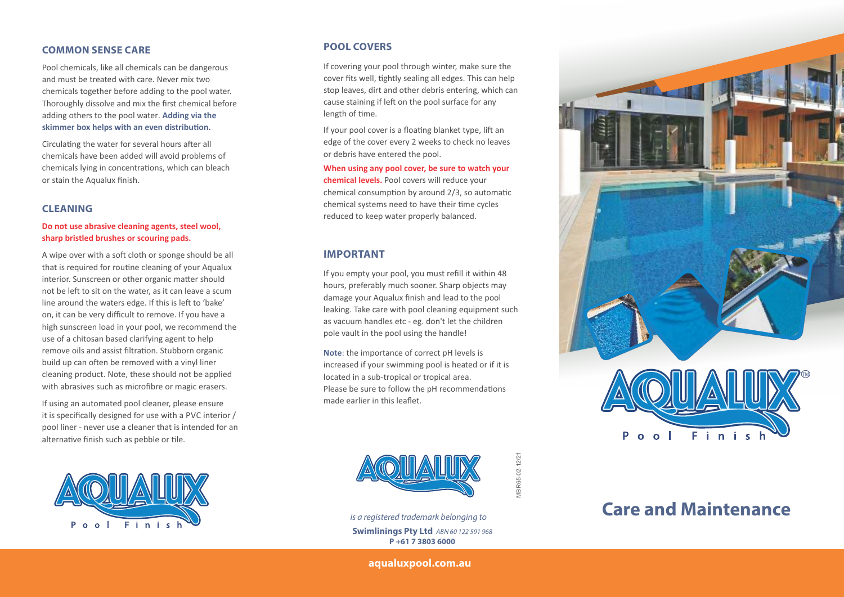### **COMMON SENSE CARE**

Pool chemicals, like all chemicals can be dangerous and must be treated with care. Never mix two chemicals together before adding to the pool water. Thoroughly dissolve and mix the first chemical before adding others to the pool water. **Adding via the**  skimmer box helps with an even distribution.

Circulating the water for several hours after all chemicals have been added will avoid problems of chemicals lying in concentrations, which can bleach or stain the Aqualux finish.

### **CLEANING**

### **Do not use abrasive cleaning agents, steel wool, sharp bristled brushes or scouring pads.**

A wipe over with a soft cloth or sponge should be all that is required for routine cleaning of your Aqualux interior. Sunscreen or other organic matter should not be left to sit on the water, as it can leave a scum line around the waters edge. If this is left to 'bake' on, it can be very difficult to remove. If you have a high sunscreen load in your pool, we recommend the use of a chitosan based clarifying agent to help remove oils and assist filtration. Stubborn organic build up can often be removed with a vinyl liner cleaning product. Note, these should not be applied with abrasives such as microfibre or magic erasers.

If using an automated pool cleaner, please ensure it is specifically designed for use with a PVC interior / pool liner - never use a cleaner that is intended for an alternative finish such as pebble or tile.



### **POOL COVERS**

If covering your pool through winter, make sure the cover fits well, tightly sealing all edges. This can help stop leaves, dirt and other debris entering, which can cause staining if left on the pool surface for any length of time.

If your pool cover is a floating blanket type, lift an edge of the cover every 2 weeks to check no leaves or debris have entered the pool.

**When using any pool cover, be sure to watch your chemical levels.** Pool covers will reduce your chemical consumption by around  $2/3$ , so automatic chemical systems need to have their time cycles reduced to keep water properly balanced.

### **IMPORTANT**

If you empty your pool, you must refill it within 48 hours, preferably much sooner. Sharp objects may damage your Aqualux finish and lead to the pool leaking. Take care with pool cleaning equipment such as vacuum handles etc - eg. don't let the children pole vault in the pool using the handle!

**Note**: the importance of correct pH levels is increased if your swimming pool is heated or if it is located in a sub-tropical or tropical area. Please be sure to follow the pH recommendations made earlier in this leaflet.



MBR65-02-12/21

/IBR65-02-12/21

**Swimlinings Pty Ltd** ABN 60 122 591 968 **P +61 7 3803 6000** is a registered trademark belonging to



# **Care and Maintenance**

**aqualuxpool.com.au**